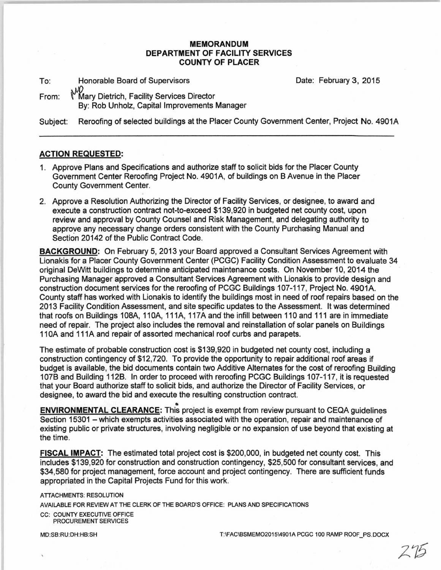## **MEMORANDUM DEPARTMENT OF FACILITY SERVICES COUNTY OF PLACER**

To: Honorable Board of Supervisors Date: February 3, 2015

From: √0<br>←Mary Dietrich, Facility Services Director By: Rob Unholz, Capital Improvements Manager

Subject: Reroofing of selected buildings at the Placer County Government Center, Project No. 4901A

## **ACTION REQUESTED:**

- 1. Approve Plans and Specifications and authorize staff to solicit bids for the Placer County Government Center Reroofing Project No. 4901A, of buildings on B Avenue in the Placer County Government Center.
- 2. Approve a Resolution Authorizing the Director of Facility Services, or designee, to award and execute a construction contract not-to-exceed \$139,920 in budgeted net county cost, upon review and approval by County Counsel and Risk Management, and delegating authority to approye any necessary change orders consistent with the County Purchasing Manual and Section 20142 of the Public Contract Code.

**BACKGROUND:** On February 5, 2013 your Board approved a Consultant Services Agreement with Lionakis for a Placer County Government Center (PCGC) Facility Condition Assessment to evaluate 34 original DeWitt buildings to determine anticipated maintenance costs. On November 10, 2014 the Purchasing Manager approved a Consultant Services Agreement with Lionakis to provide design and construction document services for the reroofing of PCGC Buildings 107-117, Project No. 4901A. County staff has worked with Lionakis to identify the buildings most in need of roof repairs based on the 2013 Facility Condition Assessment, and site specific updates to the Assessment. It was determined that roofs on Buildings 108A, 110A, 111A, 117A and the infill between 110 and 111 are in immediate need of repair. The project also includes the removal and reinstallation of solar panels on Buildings 110A and 111A and repair of assorted mechanical roof curbs and parapets.

The estimate of probable construction cost is \$139,920 in budgeted net county cost, including a construction contingency of \$12,720. To provide the opportunity to repair additional roof areas if budget is available, the bid documents contain two Additive Alternates for the cost of reroofing Building 107B and Building 112B. In order to proceed with reroofing PCGC Buildings 107-117, it is requested that your Board authorize staff to solicit bids, and authorize the Director of Facility Services, or designee, to award the bid and execute the resulting construction contract.

• **ENVIRONMENTAL CLEARANCE:** This project is exempt from review pursuant to CEQA guidelines Section 15301 – which exempts activities associated with the operation, repair and maintenance of existing public or private structures, involving negligible or no expansion of use beyond that existing at the time.

**FISCAL IMPACT:** The estimated total project cost is \$200,000, in budgeted net county cost. This includes \$139,920 for construction and construction contingency, \$25,500 for consultant services, and \$34,580 for project management, force account and project contingency. There are sufficient funds appropriated in the Capital Projects Fund for this work.

**ATTACHMENTS: RESOLUTION** AVAILABLE FOR REVIEW AT THE CLERK OF THE BOARD'S OFFICE: PLANS AND SPECIFICATIONS CC: COUNTY EXECUTIVE OFFICE PROCUREMENT SERVICES

MD:SB:RU:DH:HB:SH T:\FAC\BSMEMO2015\4901A PCGC 100 RAMP ROOF PS.DOCX